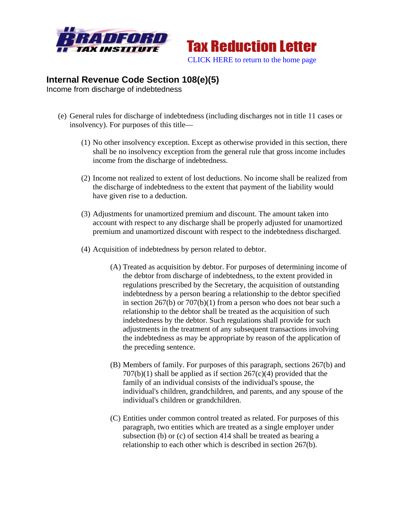



## **Internal Revenue Code Section 108(e)(5)**

Income from discharge of indebtedness

- (e) General rules for discharge of indebtedness (including discharges not in title 11 cases or insolvency). For purposes of this title—
	- (1) No other insolvency exception. Except as otherwise provided in this section, there shall be no insolvency exception from the general rule that gross income includes income from the discharge of indebtedness.
	- (2) Income not realized to extent of lost deductions. No income shall be realized from the discharge of indebtedness to the extent that payment of the liability would have given rise to a deduction.
	- (3) Adjustments for unamortized premium and discount. The amount taken into account with respect to any discharge shall be properly adjusted for unamortized premium and unamortized discount with respect to the indebtedness discharged.
	- (4) Acquisition of indebtedness by person related to debtor.
		- (A) Treated as acquisition by debtor. For purposes of determining income of the debtor from discharge of indebtedness, to the extent provided in regulations prescribed by the Secretary, the acquisition of outstanding indebtedness by a person bearing a relationship to the debtor specified in section 267(b) or 707(b)(1) from a person who does not bear such a relationship to the debtor shall be treated as the acquisition of such indebtedness by the debtor. Such regulations shall provide for such adjustments in the treatment of any subsequent transactions involving the indebtedness as may be appropriate by reason of the application of the preceding sentence.
		- (B) Members of family. For purposes of this paragraph, sections 267(b) and  $707(b)(1)$  shall be applied as if section  $267(c)(4)$  provided that the family of an individual consists of the individual's spouse, the individual's children, grandchildren, and parents, and any spouse of the individual's children or grandchildren.
		- (C) Entities under common control treated as related. For purposes of this paragraph, two entities which are treated as a single employer under subsection (b) or (c) of section 414 shall be treated as bearing a relationship to each other which is described in section 267(b).